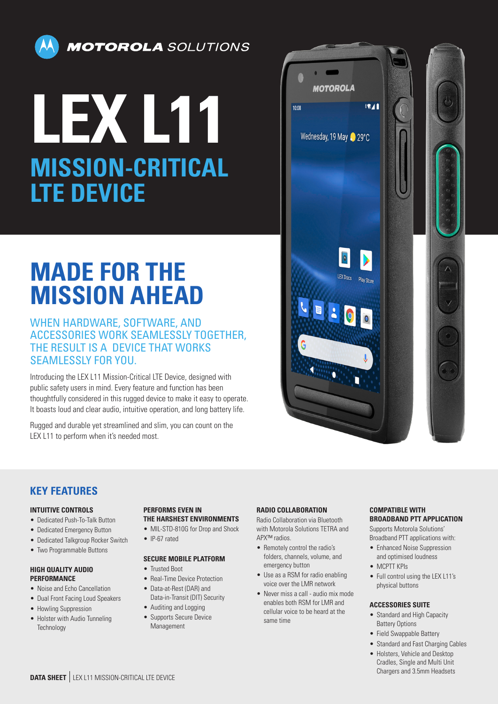

**MOTOROLA** SOLUTIONS

# **LEX L11 MISSION-CRITICAL LTE DEVICE**

# **MADE FOR THE MISSION AHEAD**

### WHEN HARDWARE, SOFTWARE, AND ACCESSORIES WORK SEAMLESSLY TOGETHER, THE RESULT IS A DEVICE THAT WORKS SEAMLESSLY FOR YOU.

Introducing the LEX L11 Mission-Critical LTE Device, designed with public safety users in mind. Every feature and function has been thoughtfully considered in this rugged device to make it easy to operate. It boasts loud and clear audio, intuitive operation, and long battery life.

Rugged and durable yet streamlined and slim, you can count on the LEX L11 to perform when it's needed most.



# **KEY FEATURES**

#### **INTUITIVE CONTROLS**

- Dedicated Push-To-Talk Button
- Dedicated Emergency Button
- Dedicated Talkgroup Rocker Switch
- Two Programmable Buttons

#### **HIGH QUALITY AUDIO PERFORMANCE**

- Noise and Echo Cancellation
- Dual Front Facing Loud Speakers
- Howling Suppression
- Holster with Audio Tunneling **Technology**

# **PERFORMS EVEN IN**

- **THE HARSHEST ENVIRONMENTS**
- MIL-STD-810G for Drop and Shock
- IP-67 rated

#### **SECURE MOBILE PLATFORM**

- Trusted Boot
- Real-Time Device Protection
- Data-at-Rest (DAR) and Data-in-Transit (DIT) Security
- Auditing and Logging
- Supports Secure Device Management

#### **RADIO COLLABORATION**

Radio Collaboration via Bluetooth with Motorola Solutions TETRA and APX™ radios.

- Remotely control the radio's folders, channels, volume, and emergency button
- Use as a RSM for radio enabling voice over the LMR network
- Never miss a call audio mix mode enables both RSM for LMR and cellular voice to be heard at the same time

#### **COMPATIBLE WITH BROADBAND PTT APPLICATION**

Supports Motorola Solutions' Broadband PTT applications with:

- Enhanced Noise Suppression and optimised loudness
- MCPTT KPIs
- Full control using the LEX L11's physical buttons

#### **ACCESSORIES SUITE**

- Standard and High Capacity Battery Options
- Field Swappable Battery
- Standard and Fast Charging Cables
- Holsters, Vehicle and Desktop Cradles, Single and Multi Unit Chargers and 3.5mm Headsets